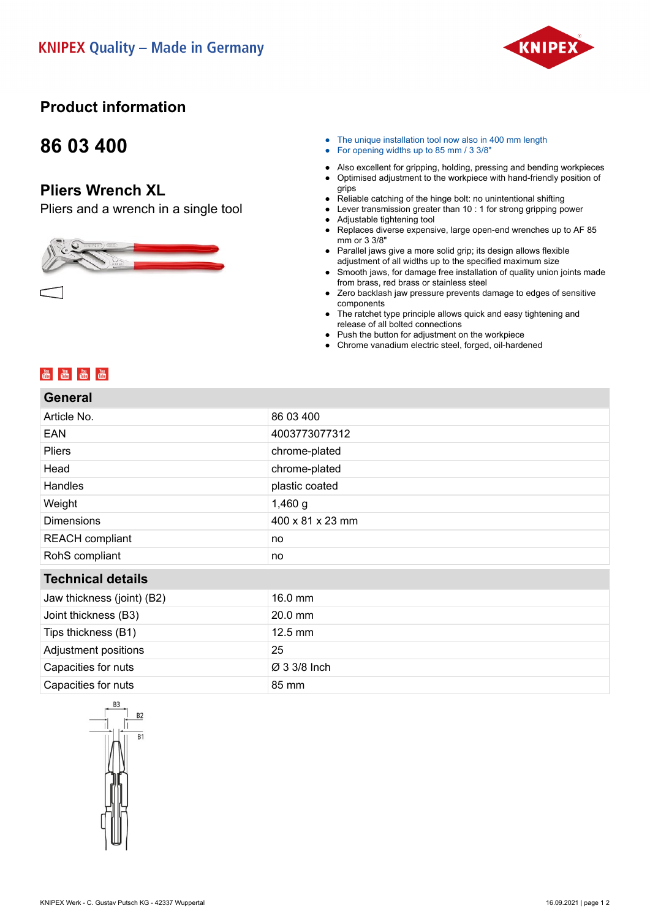

## **Product information**

## **86 03 400**

#### **Pliers Wrench XL**

Pliers and a wrench in a single tool



- The unique installation tool now also in 400 mm length
- For opening widths up to 85 mm / 3 3/8"
- Also excellent for gripping, holding, pressing and bending workpieces
- Optimised adjustment to the workpiece with hand-friendly position of grips
- Reliable catching of the hinge bolt: no unintentional shifting
- Lever transmission greater than 10 : 1 for strong gripping power<br>● Adiustable tightening tool Adjustable tightening tool
- Replaces diverse expensive, large open-end wrenches up to AF 85 mm or 3 3/8"
- Parallel jaws give a more solid grip; its design allows flexible adjustment of all widths up to the specified maximum size
- Smooth jaws, for damage free installation of quality union joints made from brass, red brass or stainless steel
- Zero backlash jaw pressure prevents damage to edges of sensitive components
- The ratchet type principle allows quick and easy tightening and release of all bolted connections
- Push the button for adjustment on the workpiece
- Chrome vanadium electric steel, forged, oil-hardened

### **You You You You You**<br>Title Title Title Title

| <b>General</b>             |                   |
|----------------------------|-------------------|
| Article No.                | 86 03 400         |
| EAN                        | 4003773077312     |
| Pliers                     | chrome-plated     |
| Head                       | chrome-plated     |
| <b>Handles</b>             | plastic coated    |
| Weight                     | $1,460$ g         |
| <b>Dimensions</b>          | 400 x 81 x 23 mm  |
| <b>REACH</b> compliant     | no                |
| RohS compliant             | no                |
| <b>Technical details</b>   |                   |
| Jaw thickness (joint) (B2) | 16.0 mm           |
| Joint thickness (B3)       | 20.0 mm           |
| Tips thickness (B1)        | $12.5 \text{ mm}$ |
| Adjustment positions       | 25                |
| Capacities for nuts        | Ø 3 3/8 Inch      |
| Capacities for nuts        | 85 mm             |